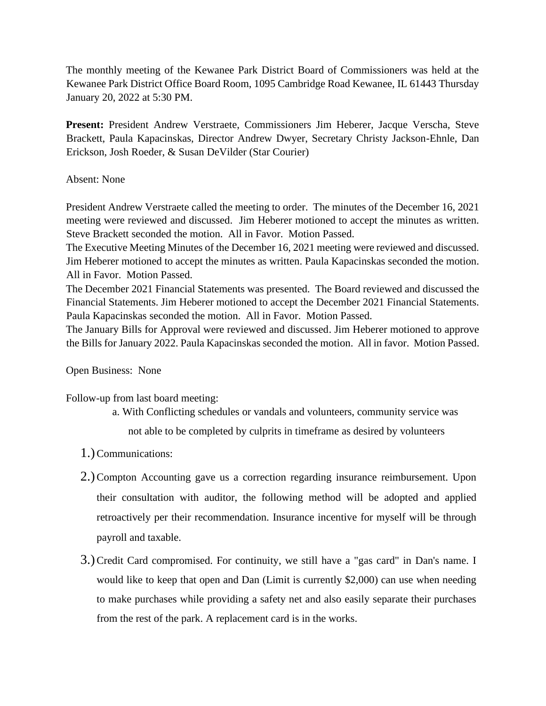The monthly meeting of the Kewanee Park District Board of Commissioners was held at the Kewanee Park District Office Board Room, 1095 Cambridge Road Kewanee, IL 61443 Thursday January 20, 2022 at 5:30 PM.

**Present:** President Andrew Verstraete, Commissioners Jim Heberer, Jacque Verscha, Steve Brackett, Paula Kapacinskas, Director Andrew Dwyer, Secretary Christy Jackson-Ehnle, Dan Erickson, Josh Roeder, & Susan DeVilder (Star Courier)

## Absent: None

President Andrew Verstraete called the meeting to order. The minutes of the December 16, 2021 meeting were reviewed and discussed. Jim Heberer motioned to accept the minutes as written. Steve Brackett seconded the motion. All in Favor. Motion Passed.

The Executive Meeting Minutes of the December 16, 2021 meeting were reviewed and discussed. Jim Heberer motioned to accept the minutes as written. Paula Kapacinskas seconded the motion. All in Favor. Motion Passed.

The December 2021 Financial Statements was presented. The Board reviewed and discussed the Financial Statements. Jim Heberer motioned to accept the December 2021 Financial Statements. Paula Kapacinskas seconded the motion. All in Favor. Motion Passed.

The January Bills for Approval were reviewed and discussed. Jim Heberer motioned to approve the Bills for January 2022. Paula Kapacinskas seconded the motion. All in favor. Motion Passed.

## Open Business: None

Follow-up from last board meeting:

- a. With Conflicting schedules or vandals and volunteers, community service was not able to be completed by culprits in timeframe as desired by volunteers
- 1.)Communications:
- 2.)Compton Accounting gave us a correction regarding insurance reimbursement. Upon their consultation with auditor, the following method will be adopted and applied retroactively per their recommendation. Insurance incentive for myself will be through payroll and taxable.
- 3.)Credit Card compromised. For continuity, we still have a "gas card" in Dan's name. I would like to keep that open and Dan (Limit is currently \$2,000) can use when needing to make purchases while providing a safety net and also easily separate their purchases from the rest of the park. A replacement card is in the works.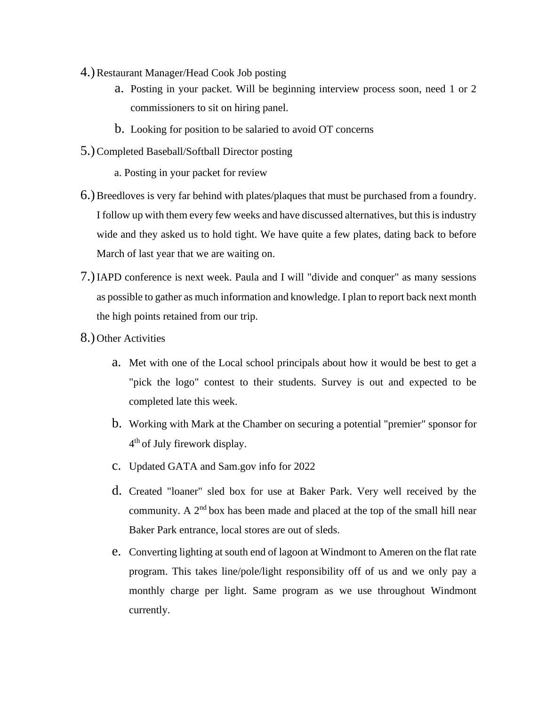- 4.)Restaurant Manager/Head Cook Job posting
	- a. Posting in your packet. Will be beginning interview process soon, need 1 or 2 commissioners to sit on hiring panel.
	- b. Looking for position to be salaried to avoid OT concerns
- 5.)Completed Baseball/Softball Director posting
	- a. Posting in your packet for review
- 6.)Breedloves is very far behind with plates/plaques that must be purchased from a foundry. I follow up with them every few weeks and have discussed alternatives, but this is industry wide and they asked us to hold tight. We have quite a few plates, dating back to before March of last year that we are waiting on.
- 7.)IAPD conference is next week. Paula and I will "divide and conquer" as many sessions as possible to gather as much information and knowledge. I plan to report back next month the high points retained from our trip.
- 8.) Other Activities
	- a. Met with one of the Local school principals about how it would be best to get a "pick the logo" contest to their students. Survey is out and expected to be completed late this week.
	- b. Working with Mark at the Chamber on securing a potential "premier" sponsor for 4<sup>th</sup> of July firework display.
	- c. Updated GATA and Sam.gov info for 2022
	- d. Created "loaner" sled box for use at Baker Park. Very well received by the community. A  $2<sup>nd</sup>$  box has been made and placed at the top of the small hill near Baker Park entrance, local stores are out of sleds.
	- e. Converting lighting at south end of lagoon at Windmont to Ameren on the flat rate program. This takes line/pole/light responsibility off of us and we only pay a monthly charge per light. Same program as we use throughout Windmont currently.